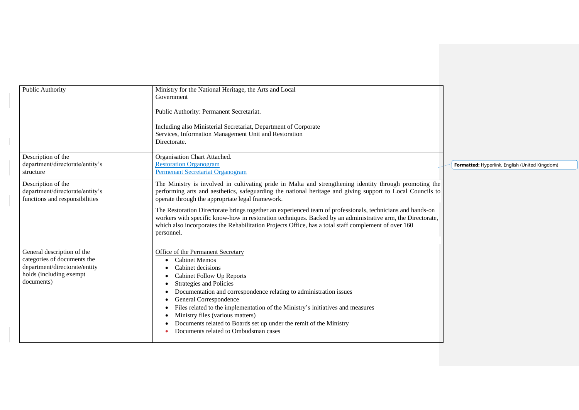| Public Authority                                                                                                                    | Ministry for the National Heritage, the Arts and Local<br>Government                                                                                                                                                                                                                                                                                                                                                                                                       |                                                |
|-------------------------------------------------------------------------------------------------------------------------------------|----------------------------------------------------------------------------------------------------------------------------------------------------------------------------------------------------------------------------------------------------------------------------------------------------------------------------------------------------------------------------------------------------------------------------------------------------------------------------|------------------------------------------------|
|                                                                                                                                     | Public Authority: Permanent Secretariat.                                                                                                                                                                                                                                                                                                                                                                                                                                   |                                                |
|                                                                                                                                     | Including also Ministerial Secretariat, Department of Corporate<br>Services, Information Management Unit and Restoration<br>Directorate.                                                                                                                                                                                                                                                                                                                                   |                                                |
| Description of the<br>department/directorate/entity's<br>structure                                                                  | Organisation Chart Attached.<br><b>Restoration Organogram</b><br>Permenant Secretariat Organogram                                                                                                                                                                                                                                                                                                                                                                          | Formatted: Hyperlink, English (United Kingdom) |
| Description of the<br>department/directorate/entity's<br>functions and responsibilities                                             | The Ministry is involved in cultivating pride in Malta and strengthening identity through promoting the<br>performing arts and aesthetics, safeguarding the national heritage and giving support to Local Councils to<br>operate through the appropriate legal framework.                                                                                                                                                                                                  |                                                |
|                                                                                                                                     | The Restoration Directorate brings together an experienced team of professionals, technicians and hands-on<br>workers with specific know-how in restoration techniques. Backed by an administrative arm, the Directorate,<br>which also incorporates the Rehabilitation Projects Office, has a total staff complement of over 160<br>personnel.                                                                                                                            |                                                |
| General description of the<br>categories of documents the<br>department/directorate/entity<br>holds (including exempt<br>documents) | Office of the Permanent Secretary<br><b>Cabinet Memos</b><br>Cabinet decisions<br>Cabinet Follow Up Reports<br>Strategies and Policies<br>Documentation and correspondence relating to administration issues<br>General Correspondence<br>Files related to the implementation of the Ministry's initiatives and measures<br>Ministry files (various matters)<br>Documents related to Boards set up under the remit of the Ministry<br>Documents related to Ombudsman cases |                                                |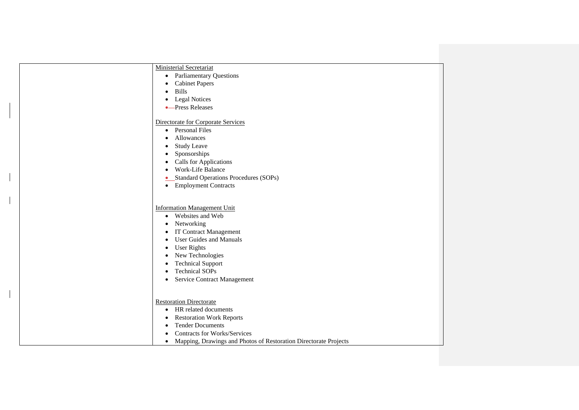| <b>Ministerial Secretariat</b>                                                |
|-------------------------------------------------------------------------------|
| <b>Parliamentary Questions</b><br>$\bullet$                                   |
| <b>Cabinet Papers</b><br>٠                                                    |
| <b>Bills</b><br>٠                                                             |
| <b>Legal Notices</b><br>٠                                                     |
| •-Press Releases                                                              |
|                                                                               |
| Directorate for Corporate Services                                            |
| • Personal Files                                                              |
| Allowances<br>٠                                                               |
| <b>Study Leave</b><br>$\bullet$                                               |
| Sponsorships<br>٠                                                             |
| <b>Calls for Applications</b><br>٠                                            |
| Work-Life Balance                                                             |
| Standard Operations Procedures (SOPs)<br>$\bullet$                            |
| <b>Employment Contracts</b><br>$\bullet$                                      |
|                                                                               |
|                                                                               |
| <b>Information Management Unit</b>                                            |
| Websites and Web<br>$\bullet$                                                 |
| Networking<br>$\bullet$                                                       |
| <b>IT Contract Management</b><br>$\bullet$                                    |
| <b>User Guides and Manuals</b><br>٠                                           |
| <b>User Rights</b><br>٠                                                       |
| New Technologies<br>٠                                                         |
| <b>Technical Support</b><br>٠                                                 |
| <b>Technical SOPs</b><br>$\bullet$                                            |
| Service Contract Management<br>٠                                              |
|                                                                               |
|                                                                               |
| <b>Restoration Directorate</b>                                                |
| HR related documents<br>$\bullet$                                             |
| <b>Restoration Work Reports</b><br>$\bullet$                                  |
| <b>Tender Documents</b><br>$\bullet$                                          |
| <b>Contracts for Works/Services</b>                                           |
| Mapping, Drawings and Photos of Restoration Directorate Projects<br>$\bullet$ |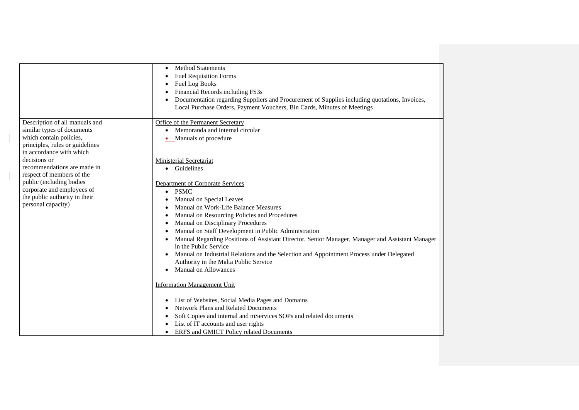|                                          | <b>Method Statements</b><br>٠<br><b>Fuel Requisition Forms</b><br>Fuel Log Books<br>Financial Records including FS3s<br>Documentation regarding Suppliers and Procurement of Supplies including quotations, Invoices,<br>Local Purchase Orders, Payment Vouchers, Bin Cards, Minutes of Meetings |
|------------------------------------------|--------------------------------------------------------------------------------------------------------------------------------------------------------------------------------------------------------------------------------------------------------------------------------------------------|
| Description of all manuals and           | Office of the Permanent Secretary                                                                                                                                                                                                                                                                |
| similar types of documents               | Memoranda and internal circular<br>$\bullet$                                                                                                                                                                                                                                                     |
| which contain policies,                  | Manuals of procedure                                                                                                                                                                                                                                                                             |
| principles, rules or guidelines          |                                                                                                                                                                                                                                                                                                  |
| in accordance with which<br>decisions or |                                                                                                                                                                                                                                                                                                  |
| recommendations are made in              | <b>Ministerial Secretariat</b><br>Guidelines                                                                                                                                                                                                                                                     |
| respect of members of the                | $\bullet$                                                                                                                                                                                                                                                                                        |
| public (including bodies                 | Department of Corporate Services                                                                                                                                                                                                                                                                 |
| corporate and employees of               | <b>PSMC</b><br>$\bullet$                                                                                                                                                                                                                                                                         |
| the public authority in their            | Manual on Special Leaves                                                                                                                                                                                                                                                                         |
| personal capacity)                       | Manual on Work-Life Balance Measures                                                                                                                                                                                                                                                             |
|                                          | Manual on Resourcing Policies and Procedures                                                                                                                                                                                                                                                     |
|                                          | Manual on Disciplinary Procedures                                                                                                                                                                                                                                                                |
|                                          | Manual on Staff Development in Public Administration                                                                                                                                                                                                                                             |
|                                          | Manual Regarding Positions of Assistant Director, Senior Manager, Manager and Assistant Manager<br>in the Public Service                                                                                                                                                                         |
|                                          | Manual on Industrial Relations and the Selection and Appointment Process under Delegated                                                                                                                                                                                                         |
|                                          | Authority in the Malta Public Service                                                                                                                                                                                                                                                            |
|                                          | <b>Manual on Allowances</b>                                                                                                                                                                                                                                                                      |
|                                          | <b>Information Management Unit</b>                                                                                                                                                                                                                                                               |
|                                          | List of Websites, Social Media Pages and Domains                                                                                                                                                                                                                                                 |
|                                          | Network Plans and Related Documents                                                                                                                                                                                                                                                              |
|                                          | Soft Copies and internal and mServices SOPs and related documents                                                                                                                                                                                                                                |
|                                          | List of IT accounts and user rights                                                                                                                                                                                                                                                              |
|                                          | ERFS and GMICT Policy related Documents                                                                                                                                                                                                                                                          |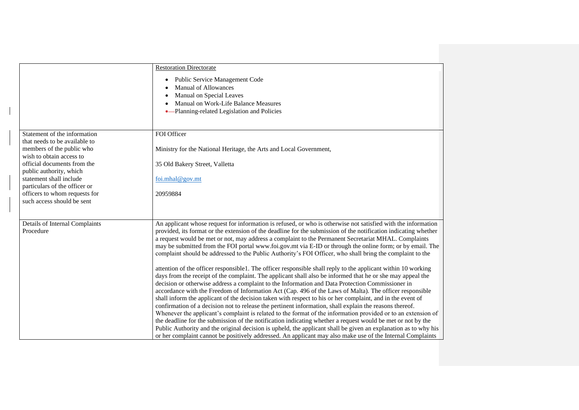|                                                                                                                                                                                                                                                                                                             | <b>Restoration Directorate</b><br><b>Public Service Management Code</b><br>$\bullet$<br><b>Manual of Allowances</b><br>Manual on Special Leaves<br>Manual on Work-Life Balance Measures<br>•-Planning-related Legislation and Policies                                                                                                                                                                                                                                                                                                                                                                                                                                                                                                                                                                                                                                                                                                                                                                                                                                                                                                                                                                                                                                                                                                                                                                                                                                                                                                                                                                                                                                                                      |
|-------------------------------------------------------------------------------------------------------------------------------------------------------------------------------------------------------------------------------------------------------------------------------------------------------------|-------------------------------------------------------------------------------------------------------------------------------------------------------------------------------------------------------------------------------------------------------------------------------------------------------------------------------------------------------------------------------------------------------------------------------------------------------------------------------------------------------------------------------------------------------------------------------------------------------------------------------------------------------------------------------------------------------------------------------------------------------------------------------------------------------------------------------------------------------------------------------------------------------------------------------------------------------------------------------------------------------------------------------------------------------------------------------------------------------------------------------------------------------------------------------------------------------------------------------------------------------------------------------------------------------------------------------------------------------------------------------------------------------------------------------------------------------------------------------------------------------------------------------------------------------------------------------------------------------------------------------------------------------------------------------------------------------------|
| Statement of the information<br>that needs to be available to<br>members of the public who<br>wish to obtain access to<br>official documents from the<br>public authority, which<br>statement shall include<br>particulars of the officer or<br>officers to whom requests for<br>such access should be sent | FOI Officer<br>Ministry for the National Heritage, the Arts and Local Government,<br>35 Old Bakery Street, Valletta<br>foi.mhal@gov.mt<br>20959884                                                                                                                                                                                                                                                                                                                                                                                                                                                                                                                                                                                                                                                                                                                                                                                                                                                                                                                                                                                                                                                                                                                                                                                                                                                                                                                                                                                                                                                                                                                                                          |
| Details of Internal Complaints<br>Procedure                                                                                                                                                                                                                                                                 | An applicant whose request for information is refused, or who is otherwise not satisfied with the information<br>provided, its format or the extension of the deadline for the submission of the notification indicating whether<br>a request would be met or not, may address a complaint to the Permanent Secretariat MHAL. Complaints<br>may be submitted from the FOI portal www.foi.gov.mt via E-ID or through the online form; or by email. The<br>complaint should be addressed to the Public Authority's FOI Officer, who shall bring the complaint to the<br>attention of the officer responsible 1. The officer responsible shall reply to the applicant within 10 working<br>days from the receipt of the complaint. The applicant shall also be informed that he or she may appeal the<br>decision or otherwise address a complaint to the Information and Data Protection Commissioner in<br>accordance with the Freedom of Information Act (Cap. 496 of the Laws of Malta). The officer responsible<br>shall inform the applicant of the decision taken with respect to his or her complaint, and in the event of<br>confirmation of a decision not to release the pertinent information, shall explain the reasons thereof.<br>Whenever the applicant's complaint is related to the format of the information provided or to an extension of<br>the deadline for the submission of the notification indicating whether a request would be met or not by the<br>Public Authority and the original decision is upheld, the applicant shall be given an explanation as to why his<br>or her complaint cannot be positively addressed. An applicant may also make use of the Internal Complaints |